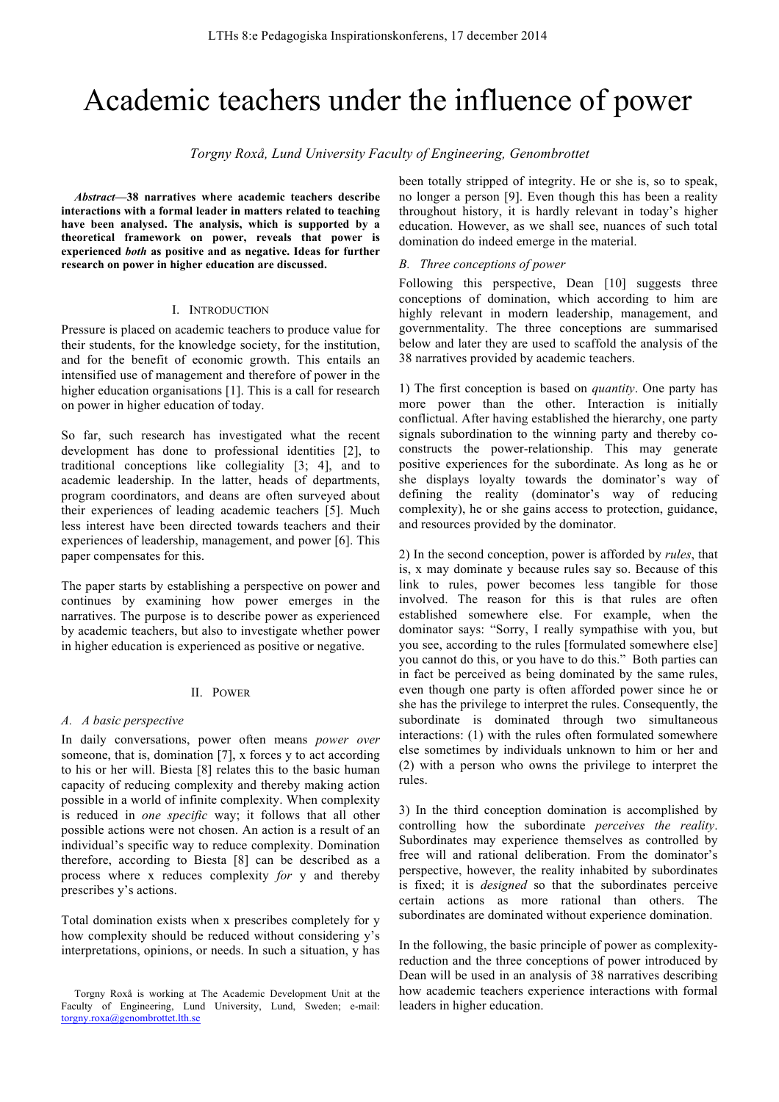# Academic teachers under the influence of power

*Torgny Roxå, Lund University Faculty of Engineering, Genombrottet*

*Abstract***—38 narratives where academic teachers describe interactions with a formal leader in matters related to teaching have been analysed. The analysis, which is supported by a theoretical framework on power, reveals that power is experienced** *both* **as positive and as negative. Ideas for further research on power in higher education are discussed.**

# I. INTRODUCTION

Pressure is placed on academic teachers to produce value for their students, for the knowledge society, for the institution, and for the benefit of economic growth. This entails an intensified use of management and therefore of power in the higher education organisations [1]. This is a call for research on power in higher education of today.

So far, such research has investigated what the recent development has done to professional identities [2], to traditional conceptions like collegiality [3; 4], and to academic leadership. In the latter, heads of departments, program coordinators, and deans are often surveyed about their experiences of leading academic teachers [5]. Much less interest have been directed towards teachers and their experiences of leadership, management, and power [6]. This paper compensates for this.

The paper starts by establishing a perspective on power and continues by examining how power emerges in the narratives. The purpose is to describe power as experienced by academic teachers, but also to investigate whether power in higher education is experienced as positive or negative.

#### II. POWER

## *A. A basic perspective*

In daily conversations, power often means *power over* someone, that is, domination [7], x forces y to act according to his or her will. Biesta [8] relates this to the basic human capacity of reducing complexity and thereby making action possible in a world of infinite complexity. When complexity is reduced in *one specific* way; it follows that all other possible actions were not chosen. An action is a result of an individual's specific way to reduce complexity. Domination therefore, according to Biesta [8] can be described as a process where x reduces complexity *for* y and thereby prescribes y's actions.

Total domination exists when x prescribes completely for y how complexity should be reduced without considering y's interpretations, opinions, or needs. In such a situation, y has been totally stripped of integrity. He or she is, so to speak, no longer a person [9]. Even though this has been a reality throughout history, it is hardly relevant in today's higher education. However, as we shall see, nuances of such total domination do indeed emerge in the material.

## *B. Three conceptions of power*

Following this perspective, Dean [10] suggests three conceptions of domination, which according to him are highly relevant in modern leadership, management, and governmentality. The three conceptions are summarised below and later they are used to scaffold the analysis of the 38 narratives provided by academic teachers.

1) The first conception is based on *quantity*. One party has more power than the other. Interaction is initially conflictual. After having established the hierarchy, one party signals subordination to the winning party and thereby coconstructs the power-relationship. This may generate positive experiences for the subordinate. As long as he or she displays loyalty towards the dominator's way of defining the reality (dominator's way of reducing complexity), he or she gains access to protection, guidance, and resources provided by the dominator.

2) In the second conception, power is afforded by *rules*, that is, x may dominate y because rules say so. Because of this link to rules, power becomes less tangible for those involved. The reason for this is that rules are often established somewhere else. For example, when the dominator says: "Sorry, I really sympathise with you, but you see, according to the rules [formulated somewhere else] you cannot do this, or you have to do this." Both parties can in fact be perceived as being dominated by the same rules, even though one party is often afforded power since he or she has the privilege to interpret the rules. Consequently, the subordinate is dominated through two simultaneous interactions: (1) with the rules often formulated somewhere else sometimes by individuals unknown to him or her and (2) with a person who owns the privilege to interpret the rules.

3) In the third conception domination is accomplished by controlling how the subordinate *perceives the reality*. Subordinates may experience themselves as controlled by free will and rational deliberation. From the dominator's perspective, however, the reality inhabited by subordinates is fixed; it is *designed* so that the subordinates perceive certain actions as more rational than others. The subordinates are dominated without experience domination.

In the following, the basic principle of power as complexityreduction and the three conceptions of power introduced by Dean will be used in an analysis of 38 narratives describing how academic teachers experience interactions with formal leaders in higher education.

Torgny Roxå is working at The Academic Development Unit at the Faculty of Engineering, Lund University, Lund, Sweden; e-mail: torgny.roxa@genombrottet.lth.se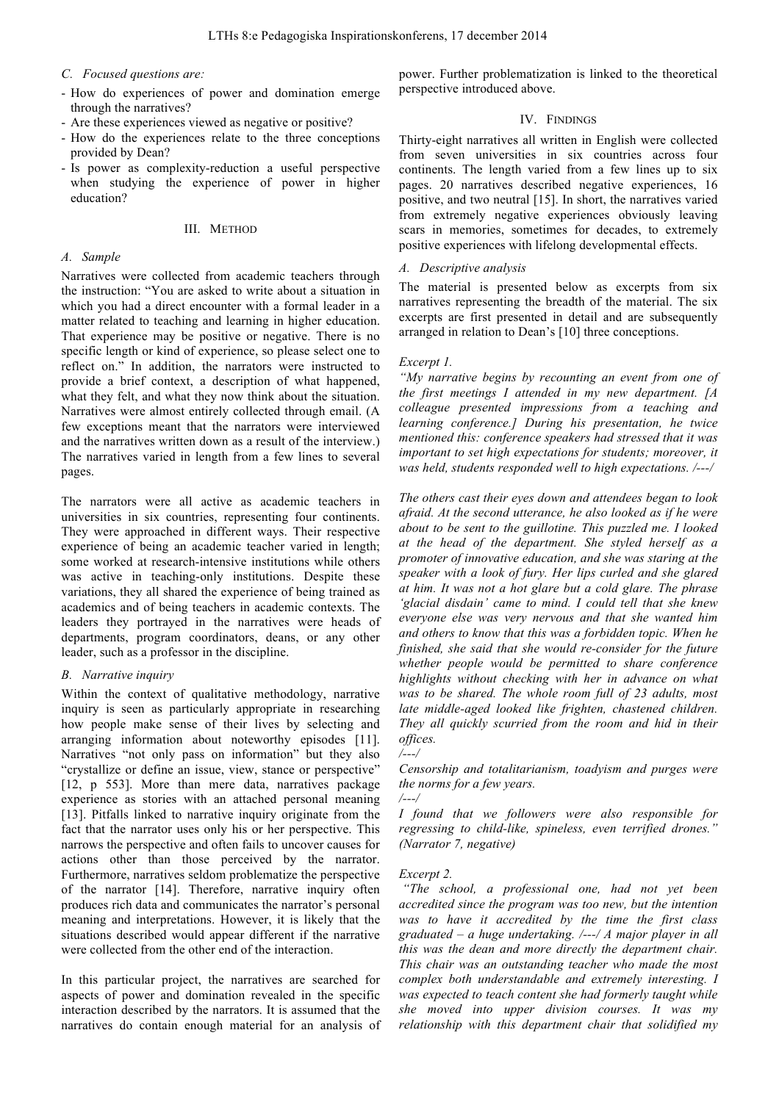## *C. Focused questions are:*

- How do experiences of power and domination emerge through the narratives?
- Are these experiences viewed as negative or positive?
- How do the experiences relate to the three conceptions provided by Dean?
- Is power as complexity-reduction a useful perspective when studying the experience of power in higher education?

## III. METHOD

## *A. Sample*

Narratives were collected from academic teachers through the instruction: "You are asked to write about a situation in which you had a direct encounter with a formal leader in a matter related to teaching and learning in higher education. That experience may be positive or negative. There is no specific length or kind of experience, so please select one to reflect on." In addition, the narrators were instructed to provide a brief context, a description of what happened, what they felt, and what they now think about the situation. Narratives were almost entirely collected through email. (A few exceptions meant that the narrators were interviewed and the narratives written down as a result of the interview.) The narratives varied in length from a few lines to several pages.

The narrators were all active as academic teachers in universities in six countries, representing four continents. They were approached in different ways. Their respective experience of being an academic teacher varied in length; some worked at research-intensive institutions while others was active in teaching-only institutions. Despite these variations, they all shared the experience of being trained as academics and of being teachers in academic contexts. The leaders they portrayed in the narratives were heads of departments, program coordinators, deans, or any other leader, such as a professor in the discipline.

#### *B. Narrative inquiry*

Within the context of qualitative methodology, narrative inquiry is seen as particularly appropriate in researching how people make sense of their lives by selecting and arranging information about noteworthy episodes [11]. Narratives "not only pass on information" but they also "crystallize or define an issue, view, stance or perspective" [12, p 553]. More than mere data, narratives package experience as stories with an attached personal meaning [13]. Pitfalls linked to narrative inquiry originate from the fact that the narrator uses only his or her perspective. This narrows the perspective and often fails to uncover causes for actions other than those perceived by the narrator. Furthermore, narratives seldom problematize the perspective of the narrator [14]. Therefore, narrative inquiry often produces rich data and communicates the narrator's personal meaning and interpretations. However, it is likely that the situations described would appear different if the narrative were collected from the other end of the interaction.

In this particular project, the narratives are searched for aspects of power and domination revealed in the specific interaction described by the narrators. It is assumed that the narratives do contain enough material for an analysis of

power. Further problematization is linked to the theoretical perspective introduced above.

## IV. FINDINGS

Thirty-eight narratives all written in English were collected from seven universities in six countries across four continents. The length varied from a few lines up to six pages. 20 narratives described negative experiences, 16 positive, and two neutral [15]. In short, the narratives varied from extremely negative experiences obviously leaving scars in memories, sometimes for decades, to extremely positive experiences with lifelong developmental effects.

## *A. Descriptive analysis*

The material is presented below as excerpts from six narratives representing the breadth of the material. The six excerpts are first presented in detail and are subsequently arranged in relation to Dean's [10] three conceptions.

## *Excerpt 1.*

*"My narrative begins by recounting an event from one of the first meetings I attended in my new department. [A colleague presented impressions from a teaching and learning conference.] During his presentation, he twice mentioned this: conference speakers had stressed that it was important to set high expectations for students; moreover, it was held, students responded well to high expectations. /---/* 

*The others cast their eyes down and attendees began to look afraid. At the second utterance, he also looked as if he were about to be sent to the guillotine. This puzzled me. I looked at the head of the department. She styled herself as a promoter of innovative education, and she was staring at the speaker with a look of fury. Her lips curled and she glared at him. It was not a hot glare but a cold glare. The phrase 'glacial disdain' came to mind. I could tell that she knew everyone else was very nervous and that she wanted him and others to know that this was a forbidden topic. When he finished, she said that she would re-consider for the future whether people would be permitted to share conference highlights without checking with her in advance on what was to be shared. The whole room full of 23 adults, most late middle-aged looked like frighten, chastened children. They all quickly scurried from the room and hid in their offices.*

#### */---/*

*Censorship and totalitarianism, toadyism and purges were the norms for a few years.*

*/---/*

*I found that we followers were also responsible for regressing to child-like, spineless, even terrified drones." (Narrator 7, negative)*

## *Excerpt 2.*

*"The school, a professional one, had not yet been accredited since the program was too new, but the intention was to have it accredited by the time the first class graduated – a huge undertaking. /---/ A major player in all this was the dean and more directly the department chair. This chair was an outstanding teacher who made the most complex both understandable and extremely interesting. I was expected to teach content she had formerly taught while she moved into upper division courses. It was my relationship with this department chair that solidified my*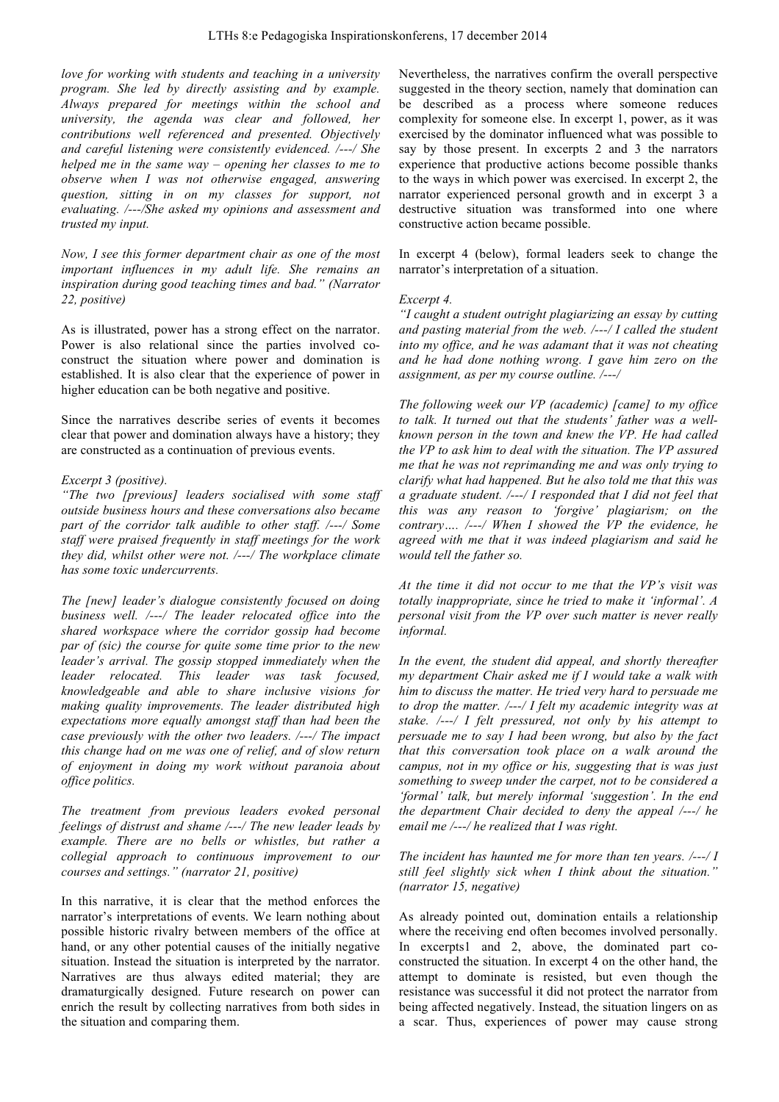*love for working with students and teaching in a university program. She led by directly assisting and by example. Always prepared for meetings within the school and university, the agenda was clear and followed, her contributions well referenced and presented. Objectively and careful listening were consistently evidenced. /---/ She helped me in the same way – opening her classes to me to observe when I was not otherwise engaged, answering question, sitting in on my classes for support, not evaluating. /---/She asked my opinions and assessment and trusted my input.* 

*Now, I see this former department chair as one of the most important influences in my adult life. She remains an inspiration during good teaching times and bad." (Narrator 22, positive)*

As is illustrated, power has a strong effect on the narrator. Power is also relational since the parties involved coconstruct the situation where power and domination is established. It is also clear that the experience of power in higher education can be both negative and positive.

Since the narratives describe series of events it becomes clear that power and domination always have a history; they are constructed as a continuation of previous events.

## *Excerpt 3 (positive).*

*"The two [previous] leaders socialised with some staff outside business hours and these conversations also became part of the corridor talk audible to other staff. /---/ Some staff were praised frequently in staff meetings for the work they did, whilst other were not. /---/ The workplace climate has some toxic undercurrents.*

*The [new] leader's dialogue consistently focused on doing business well. /---/ The leader relocated office into the shared workspace where the corridor gossip had become par of (sic) the course for quite some time prior to the new leader's arrival. The gossip stopped immediately when the leader relocated. This leader was task focused, knowledgeable and able to share inclusive visions for making quality improvements. The leader distributed high expectations more equally amongst staff than had been the case previously with the other two leaders. /---/ The impact this change had on me was one of relief, and of slow return of enjoyment in doing my work without paranoia about office politics.* 

*The treatment from previous leaders evoked personal feelings of distrust and shame /---/ The new leader leads by example. There are no bells or whistles, but rather a collegial approach to continuous improvement to our courses and settings." (narrator 21, positive)*

In this narrative, it is clear that the method enforces the narrator's interpretations of events. We learn nothing about possible historic rivalry between members of the office at hand, or any other potential causes of the initially negative situation. Instead the situation is interpreted by the narrator. Narratives are thus always edited material; they are dramaturgically designed. Future research on power can enrich the result by collecting narratives from both sides in the situation and comparing them.

Nevertheless, the narratives confirm the overall perspective suggested in the theory section, namely that domination can be described as a process where someone reduces complexity for someone else. In excerpt 1, power, as it was exercised by the dominator influenced what was possible to say by those present. In excerpts 2 and 3 the narrators experience that productive actions become possible thanks to the ways in which power was exercised. In excerpt 2, the narrator experienced personal growth and in excerpt 3 a destructive situation was transformed into one where constructive action became possible.

In excerpt 4 (below), formal leaders seek to change the narrator's interpretation of a situation.

#### *Excerpt 4.*

*"I caught a student outright plagiarizing an essay by cutting and pasting material from the web. /---/ I called the student into my office, and he was adamant that it was not cheating and he had done nothing wrong. I gave him zero on the assignment, as per my course outline. /---/* 

*The following week our VP (academic) [came] to my office to talk. It turned out that the students' father was a wellknown person in the town and knew the VP. He had called the VP to ask him to deal with the situation. The VP assured me that he was not reprimanding me and was only trying to clarify what had happened. But he also told me that this was a graduate student. /---/ I responded that I did not feel that this was any reason to 'forgive' plagiarism; on the contrary…. /---/ When I showed the VP the evidence, he agreed with me that it was indeed plagiarism and said he would tell the father so.* 

*At the time it did not occur to me that the VP's visit was totally inappropriate, since he tried to make it 'informal'. A personal visit from the VP over such matter is never really informal.* 

*In the event, the student did appeal, and shortly thereafter my department Chair asked me if I would take a walk with him to discuss the matter. He tried very hard to persuade me to drop the matter. /---/ I felt my academic integrity was at stake. /---/ I felt pressured, not only by his attempt to persuade me to say I had been wrong, but also by the fact that this conversation took place on a walk around the campus, not in my office or his, suggesting that is was just something to sweep under the carpet, not to be considered a 'formal' talk, but merely informal 'suggestion'. In the end the department Chair decided to deny the appeal /---/ he email me /---/ he realized that I was right.* 

*The incident has haunted me for more than ten years. /---/ I still feel slightly sick when I think about the situation." (narrator 15, negative)*

As already pointed out, domination entails a relationship where the receiving end often becomes involved personally. In excerpts1 and 2, above, the dominated part coconstructed the situation. In excerpt 4 on the other hand, the attempt to dominate is resisted, but even though the resistance was successful it did not protect the narrator from being affected negatively. Instead, the situation lingers on as a scar. Thus, experiences of power may cause strong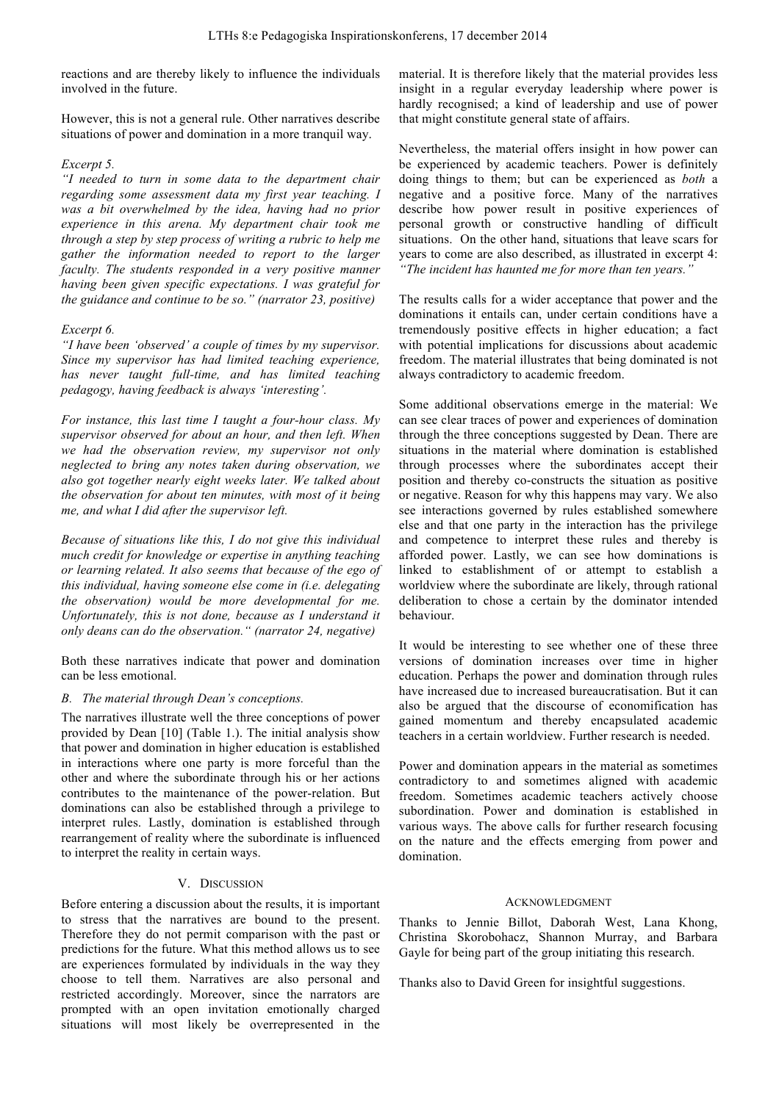reactions and are thereby likely to influence the individuals involved in the future.

However, this is not a general rule. Other narratives describe situations of power and domination in a more tranquil way.

# *Excerpt 5.*

*"I needed to turn in some data to the department chair regarding some assessment data my first year teaching. I was a bit overwhelmed by the idea, having had no prior experience in this arena. My department chair took me through a step by step process of writing a rubric to help me gather the information needed to report to the larger faculty. The students responded in a very positive manner having been given specific expectations. I was grateful for the guidance and continue to be so." (narrator 23, positive)*

# *Excerpt 6.*

*"I have been 'observed' a couple of times by my supervisor. Since my supervisor has had limited teaching experience, has never taught full-time, and has limited teaching pedagogy, having feedback is always 'interesting'.*

*For instance, this last time I taught a four-hour class. My supervisor observed for about an hour, and then left. When we had the observation review, my supervisor not only neglected to bring any notes taken during observation, we also got together nearly eight weeks later. We talked about the observation for about ten minutes, with most of it being me, and what I did after the supervisor left.*

*Because of situations like this, I do not give this individual much credit for knowledge or expertise in anything teaching or learning related. It also seems that because of the ego of this individual, having someone else come in (i.e. delegating the observation) would be more developmental for me. Unfortunately, this is not done, because as I understand it only deans can do the observation." (narrator 24, negative)*

Both these narratives indicate that power and domination can be less emotional.

## *B. The material through Dean's conceptions.*

The narratives illustrate well the three conceptions of power provided by Dean [10] (Table 1.). The initial analysis show that power and domination in higher education is established in interactions where one party is more forceful than the other and where the subordinate through his or her actions contributes to the maintenance of the power-relation. But dominations can also be established through a privilege to interpret rules. Lastly, domination is established through rearrangement of reality where the subordinate is influenced to interpret the reality in certain ways.

## V. DISCUSSION

Before entering a discussion about the results, it is important to stress that the narratives are bound to the present. Therefore they do not permit comparison with the past or predictions for the future. What this method allows us to see are experiences formulated by individuals in the way they choose to tell them. Narratives are also personal and restricted accordingly. Moreover, since the narrators are prompted with an open invitation emotionally charged situations will most likely be overrepresented in the

material. It is therefore likely that the material provides less insight in a regular everyday leadership where power is hardly recognised; a kind of leadership and use of power that might constitute general state of affairs.

Nevertheless, the material offers insight in how power can be experienced by academic teachers. Power is definitely doing things to them; but can be experienced as *both* a negative and a positive force. Many of the narratives describe how power result in positive experiences of personal growth or constructive handling of difficult situations. On the other hand, situations that leave scars for years to come are also described, as illustrated in excerpt 4: *"The incident has haunted me for more than ten years."* 

The results calls for a wider acceptance that power and the dominations it entails can, under certain conditions have a tremendously positive effects in higher education; a fact with potential implications for discussions about academic freedom. The material illustrates that being dominated is not always contradictory to academic freedom.

Some additional observations emerge in the material: We can see clear traces of power and experiences of domination through the three conceptions suggested by Dean. There are situations in the material where domination is established through processes where the subordinates accept their position and thereby co-constructs the situation as positive or negative. Reason for why this happens may vary. We also see interactions governed by rules established somewhere else and that one party in the interaction has the privilege and competence to interpret these rules and thereby is afforded power. Lastly, we can see how dominations is linked to establishment of or attempt to establish a worldview where the subordinate are likely, through rational deliberation to chose a certain by the dominator intended behaviour.

It would be interesting to see whether one of these three versions of domination increases over time in higher education. Perhaps the power and domination through rules have increased due to increased bureaucratisation. But it can also be argued that the discourse of economification has gained momentum and thereby encapsulated academic teachers in a certain worldview. Further research is needed.

Power and domination appears in the material as sometimes contradictory to and sometimes aligned with academic freedom. Sometimes academic teachers actively choose subordination. Power and domination is established in various ways. The above calls for further research focusing on the nature and the effects emerging from power and domination.

## ACKNOWLEDGMENT

Thanks to Jennie Billot, Daborah West, Lana Khong, Christina Skorobohacz, Shannon Murray, and Barbara Gayle for being part of the group initiating this research.

Thanks also to David Green for insightful suggestions.